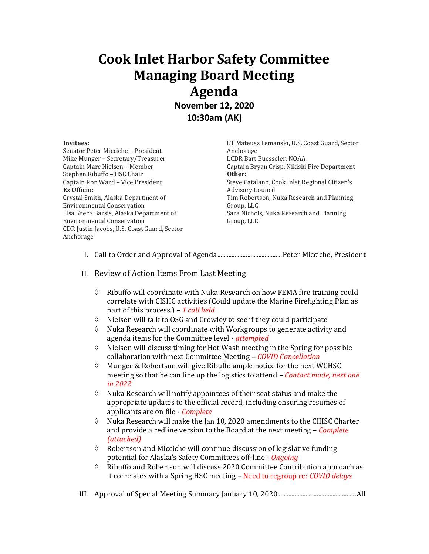## **Cook Inlet Harbor Safety Committee Managing Board Meeting Agenda November 12, 2020**

**10:30am (AK)**

## **Invitees:**

Senator Peter Micciche – President Mike Munger – Secretary/Treasurer Captain Marc Nielsen – Member Stephen Ribuffo – HSC Chair Captain Ron Ward – Vice President **Ex Officio:** Crystal Smith, Alaska Department of Environmental Conservation Lisa Krebs Barsis, Alaska Department of Environmental Conservation CDR Justin Jacobs, U.S. Coast Guard, Sector Anchorage

LT Mateusz Lemanski, U.S. Coast Guard, Sector Anchorage LCDR Bart Buesseler, NOAA Captain Bryan Crisp, Nikiski Fire Department **Other:** Steve Catalano, Cook Inlet Regional Citizen's Advisory Council Tim Robertson, Nuka Research and Planning Group, LLC Sara Nichols, Nuka Research and Planning Group, LLC

- I. Call to Order and Approval of Agenda.........................................Peter Micciche, President
- II. Review of Action Items From Last Meeting
	- $\Diamond$  Ribuffo will coordinate with Nuka Research on how FEMA fire training could correlate with CISHC activities (Could update the Marine Firefighting Plan as part of this process.) – *1 call held*
	- $\Diamond$  Nielsen will talk to OSG and Crowley to see if they could participate
	- $\Diamond$  Nuka Research will coordinate with Workgroups to generate activity and agenda items for the Committee level - *attempted*
	- $\Diamond$  Nielsen will discuss timing for Hot Wash meeting in the Spring for possible collaboration with next Committee Meeting – *COVID Cancellation*
	- Munger & Robertson will give Ribuffo ample notice for the next WCHSC meeting so that he can line up the logistics to attend – *Contact made, next one in 2022*
	- $\Diamond$  Nuka Research will notify appointees of their seat status and make the appropriate updates to the official record, including ensuring resumes of applicants are on file - *Complete*
	- $\Diamond$  Nuka Research will make the Jan 10, 2020 amendments to the CIHSC Charter and provide a redline version to the Board at the next meeting – *Complete (attached)*
	- $\Diamond$  Robertson and Micciche will continue discussion of legislative funding potential for Alaska's Safety Committees off-line - *Ongoing*
	- $\Diamond$  Ribuffo and Robertson will discuss 2020 Committee Contribution approach as it correlates with a Spring HSC meeting – Need to regroup re: *COVID delays*
- III. Approval of Special Meeting Summary January 10, 2020 .................................................All